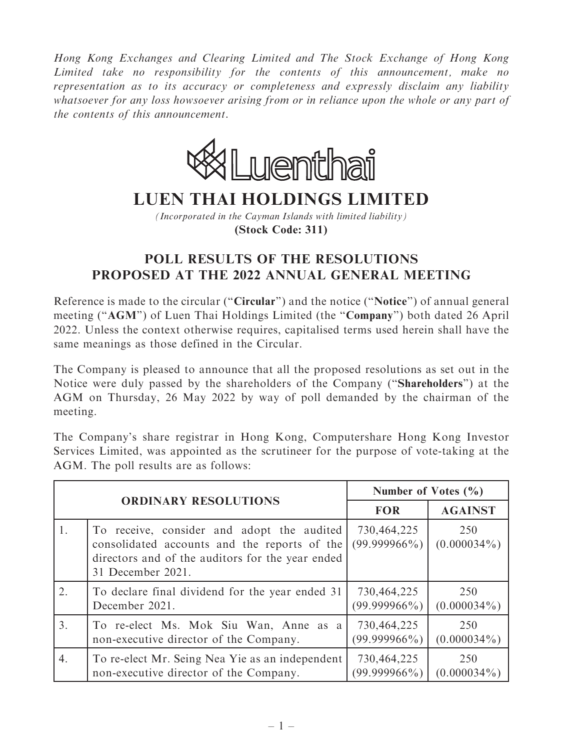Hong Kong Exchanges and Clearing Limited and The Stock Exchange of Hong Kong Limited take no responsibility for the contents of this announcement, make no representation as to its accuracy or completeness and expressly disclaim any liability whatsoever for any loss howsoever arising from or in reliance upon the whole or any part of the contents of this announcement.



## **LUEN THAI HOLDINGS LIMITED**

*(Incorporated in the Cayman Islands with limited liability)* **(Stock Code: 311)**

## POLL RESULTS OF THE RESOLUTIONS PROPOSED AT THE 2022 ANNUAL GENERAL MEETING

Reference is made to the circular (''Circular'') and the notice (''Notice'') of annual general meeting ("AGM") of Luen Thai Holdings Limited (the "Company") both dated 26 April 2022. Unless the context otherwise requires, capitalised terms used herein shall have the same meanings as those defined in the Circular.

The Company is pleased to announce that all the proposed resolutions as set out in the Notice were duly passed by the shareholders of the Company (''Shareholders'') at the AGM on Thursday, 26 May 2022 by way of poll demanded by the chairman of the meeting.

The Company's share registrar in Hong Kong, Computershare Hong Kong Investor Services Limited, was appointed as the scrutineer for the purpose of vote-taking at the AGM. The poll results are as follows:

| <b>ORDINARY RESOLUTIONS</b> |                                                                                                                                                                     | Number of Votes $(\% )$        |                       |
|-----------------------------|---------------------------------------------------------------------------------------------------------------------------------------------------------------------|--------------------------------|-----------------------|
|                             |                                                                                                                                                                     | <b>FOR</b>                     | <b>AGAINST</b>        |
| 1.                          | To receive, consider and adopt the audited<br>consolidated accounts and the reports of the<br>directors and of the auditors for the year ended<br>31 December 2021. | 730,464,225<br>$(99.999966\%)$ | 250<br>$(0.000034\%)$ |
| 2.                          | To declare final dividend for the year ended 31                                                                                                                     | 730,464,225                    | 250                   |
|                             | December 2021.                                                                                                                                                      | $(99.999966\%)$                | $(0.000034\%)$        |
| 3.                          | To re-elect Ms. Mok Siu Wan, Anne as a                                                                                                                              | 730,464,225                    | 250                   |
|                             | non-executive director of the Company.                                                                                                                              | $(99.999966\%)$                | $(0.000034\%)$        |
| 4.                          | To re-elect Mr. Seing Nea Yie as an independent                                                                                                                     | 730,464,225                    | 250                   |
|                             | non-executive director of the Company.                                                                                                                              | $(99.999966\%)$                | $(0.000034\%)$        |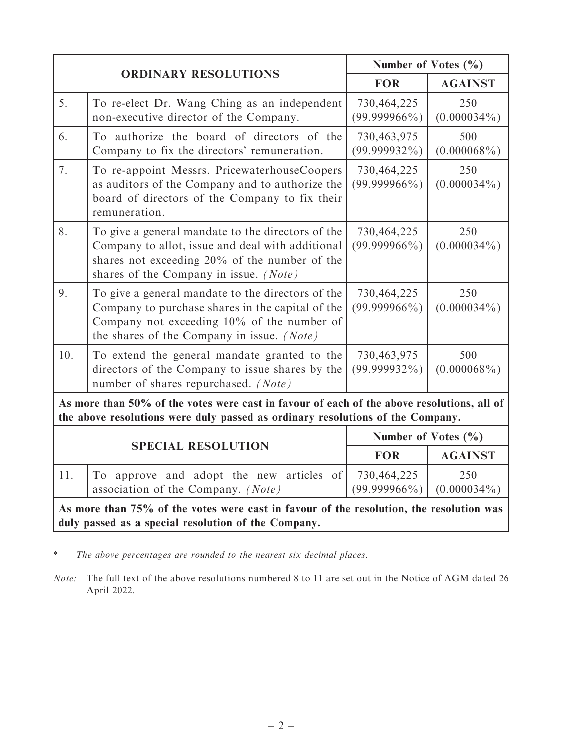| <b>ORDINARY RESOLUTIONS</b>                                                                                                                                                  |                                                                                                                                                                                                     | Number of Votes $(\% )$        |                       |  |
|------------------------------------------------------------------------------------------------------------------------------------------------------------------------------|-----------------------------------------------------------------------------------------------------------------------------------------------------------------------------------------------------|--------------------------------|-----------------------|--|
|                                                                                                                                                                              |                                                                                                                                                                                                     | <b>FOR</b>                     | <b>AGAINST</b>        |  |
| 5.                                                                                                                                                                           | To re-elect Dr. Wang Ching as an independent<br>non-executive director of the Company.                                                                                                              | 730,464,225<br>$(99.999966\%)$ | 250<br>$(0.000034\%)$ |  |
| 6.                                                                                                                                                                           | To authorize the board of directors of the<br>Company to fix the directors' remuneration.                                                                                                           | 730,463,975<br>$(99.999932\%)$ | 500<br>$(0.000068\%)$ |  |
| 7.                                                                                                                                                                           | To re-appoint Messrs. PricewaterhouseCoopers<br>as auditors of the Company and to authorize the<br>board of directors of the Company to fix their<br>remuneration.                                  | 730,464,225<br>$(99.999966\%)$ | 250<br>$(0.000034\%)$ |  |
| 8.                                                                                                                                                                           | To give a general mandate to the directors of the<br>Company to allot, issue and deal with additional<br>shares not exceeding $20\%$ of the number of the<br>shares of the Company in issue. (Note) | 730,464,225<br>$(99.999966\%)$ | 250<br>$(0.000034\%)$ |  |
| 9.                                                                                                                                                                           | To give a general mandate to the directors of the<br>Company to purchase shares in the capital of the<br>Company not exceeding 10% of the number of<br>the shares of the Company in issue. (Note)   | 730,464,225<br>$(99.999966\%)$ | 250<br>$(0.000034\%)$ |  |
| 10.                                                                                                                                                                          | To extend the general mandate granted to the<br>directors of the Company to issue shares by the<br>number of shares repurchased. (Note)                                                             | 730,463,975<br>$(99.999932\%)$ | 500<br>$(0.000068\%)$ |  |
| As more than 50% of the votes were cast in favour of each of the above resolutions, all of<br>the above resolutions were duly passed as ordinary resolutions of the Company. |                                                                                                                                                                                                     |                                |                       |  |
| <b>SPECIAL RESOLUTION</b>                                                                                                                                                    |                                                                                                                                                                                                     | Number of Votes $(\% )$        |                       |  |
|                                                                                                                                                                              |                                                                                                                                                                                                     | <b>FOR</b>                     | <b>AGAINST</b>        |  |
| 11.                                                                                                                                                                          | To approve and adopt the new articles of<br>association of the Company. (Note)                                                                                                                      | 730,464,225<br>$(99.999966\%)$ | 250<br>$(0.000034\%)$ |  |
| As more than 75% of the votes were cast in favour of the resolution, the resolution was<br>duly passed as a special resolution of the Company.                               |                                                                                                                                                                                                     |                                |                       |  |

\* The above percentages are rounded to the nearest six decimal places.

Note: The full text of the above resolutions numbered 8 to 11 are set out in the Notice of AGM dated 26 April 2022.